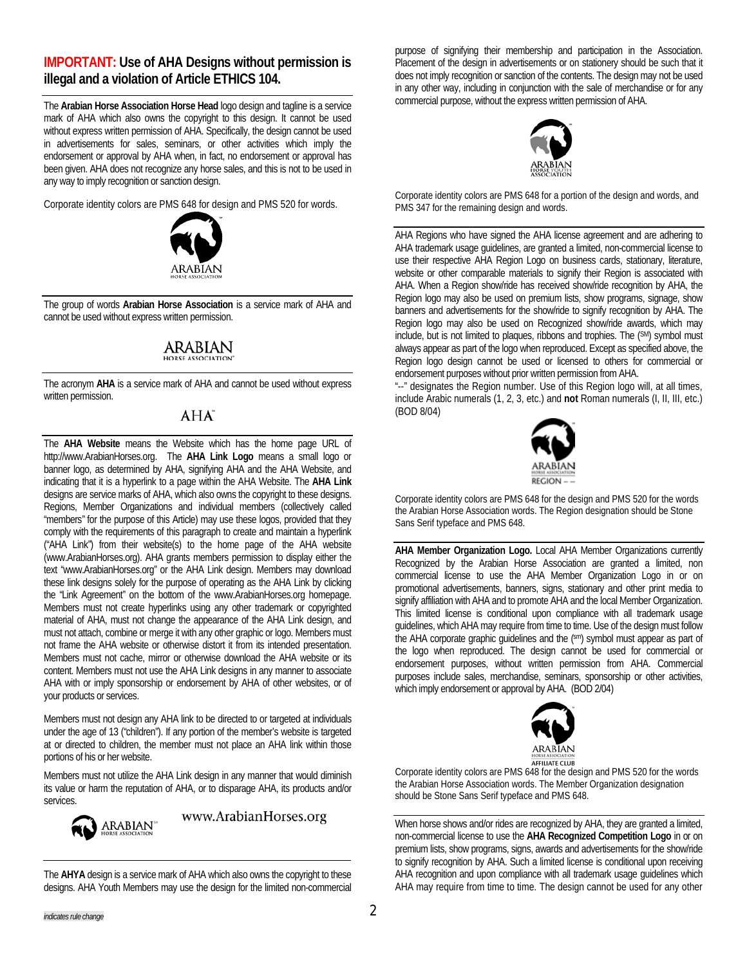### **IMPORTANT: Use of AHA Designs without permission is illegal and a violation of Article ETHICS 104.**

The **Arabian Horse Association Horse Head** logo design and tagline is a service mark of AHA which also owns the copyright to this design. It cannot be used without express written permission of AHA. Specifically, the design cannot be used in advertisements for sales, seminars, or other activities which imply the endorsement or approval by AHA when, in fact, no endorsement or approval has been given. AHA does not recognize any horse sales, and this is not to be used in any way to imply recognition or sanction design.

Corporate identity colors are PMS 648 for design and PMS 520 for words.



The group of words **Arabian Horse Association** is a service mark of AHA and cannot be used without express written permission.

#### **ARABIAN ORSE ASSOCIATION**

The acronym **AHA** is a service mark of AHA and cannot be used without express written permission.

## $AHA^T$

The **AHA Website** means the Website which has the home page URL of http://www.ArabianHorses.org. The **AHA Link Logo** means a small logo or banner logo, as determined by AHA, signifying AHA and the AHA Website, and indicating that it is a hyperlink to a page within the AHA Website. The **AHA Link**  designs are service marks of AHA, which also owns the copyright to these designs. Regions, Member Organizations and individual members (collectively called "members" for the purpose of this Article) may use these logos, provided that they comply with the requirements of this paragraph to create and maintain a hyperlink ("AHA Link") from their website(s) to the home page of the AHA website (www.ArabianHorses.org). AHA grants members permission to display either the text "www.ArabianHorses.org" or the AHA Link design. Members may download these link designs solely for the purpose of operating as the AHA Link by clicking the "Link Agreement" on the bottom of the www.ArabianHorses.org homepage. Members must not create hyperlinks using any other trademark or copyrighted material of AHA, must not change the appearance of the AHA Link design, and must not attach, combine or merge it with any other graphic or logo. Members must not frame the AHA website or otherwise distort it from its intended presentation. Members must not cache, mirror or otherwise download the AHA website or its content. Members must not use the AHA Link designs in any manner to associate AHA with or imply sponsorship or endorsement by AHA of other websites, or of your products or services.

Members must not design any AHA link to be directed to or targeted at individuals under the age of 13 ("children"). If any portion of the member's website is targeted at or directed to children, the member must not place an AHA link within those portions of his or her website.

Members must not utilize the AHA Link design in any manner that would diminish its value or harm the reputation of AHA, or to disparage AHA, its products and/or services.



www.ArabianHorses.org

The **AHYA** design is a service mark of AHA which also owns the copyright to these designs. AHA Youth Members may use the design for the limited non-commercial purpose of signifying their membership and participation in the Association. Placement of the design in advertisements or on stationery should be such that it does not imply recognition or sanction of the contents. The design may not be used in any other way, including in conjunction with the sale of merchandise or for any commercial purpose, without the express written permission of AHA.



Corporate identity colors are PMS 648 for a portion of the design and words, and PMS 347 for the remaining design and words.

AHA Regions who have signed the AHA license agreement and are adhering to AHA trademark usage guidelines, are granted a limited, non-commercial license to use their respective AHA Region Logo on business cards, stationary, literature, website or other comparable materials to signify their Region is associated with AHA. When a Region show/ride has received show/ride recognition by AHA, the Region logo may also be used on premium lists, show programs, signage, show banners and advertisements for the show/ride to signify recognition by AHA. The Region logo may also be used on Recognized show/ride awards, which may include, but is not limited to plaques, ribbons and trophies. The (SM) symbol must always appear as part of the logo when reproduced. Except as specified above, the Region logo design cannot be used or licensed to others for commercial or endorsement purposes without prior written permission from AHA.

"--" designates the Region number. Use of this Region logo will, at all times, include Arabic numerals (1, 2, 3, etc.) and **not** Roman numerals (I, II, III, etc.) (BOD 8/04)



Corporate identity colors are PMS 648 for the design and PMS 520 for the words the Arabian Horse Association words. The Region designation should be Stone Sans Serif typeface and PMS 648.

**AHA Member Organization Logo.** Local AHA Member Organizations currently Recognized by the Arabian Horse Association are granted a limited, non commercial license to use the AHA Member Organization Logo in or on promotional advertisements, banners, signs, stationary and other print media to signify affiliation with AHA and to promote AHA and the local Member Organization. This limited license is conditional upon compliance with all trademark usage guidelines, which AHA may require from time to time. Use of the design must follow the AHA corporate graphic guidelines and the (sm) symbol must appear as part of the logo when reproduced. The design cannot be used for commercial or endorsement purposes, without written permission from AHA. Commercial purposes include sales, merchandise, seminars, sponsorship or other activities, which imply endorsement or approval by AHA. (BOD 2/04)



Corporate identity colors are PMS 648 for the design and PMS 520 for the words the Arabian Horse Association words. The Member Organization designation should be Stone Sans Serif typeface and PMS 648.

When horse shows and/or rides are recognized by AHA, they are granted a limited, non-commercial license to use the **AHA Recognized Competition Logo** in or on premium lists, show programs, signs, awards and advertisements for the show/ride to signify recognition by AHA. Such a limited license is conditional upon receiving AHA recognition and upon compliance with all trademark usage guidelines which AHA may require from time to time. The design cannot be used for any other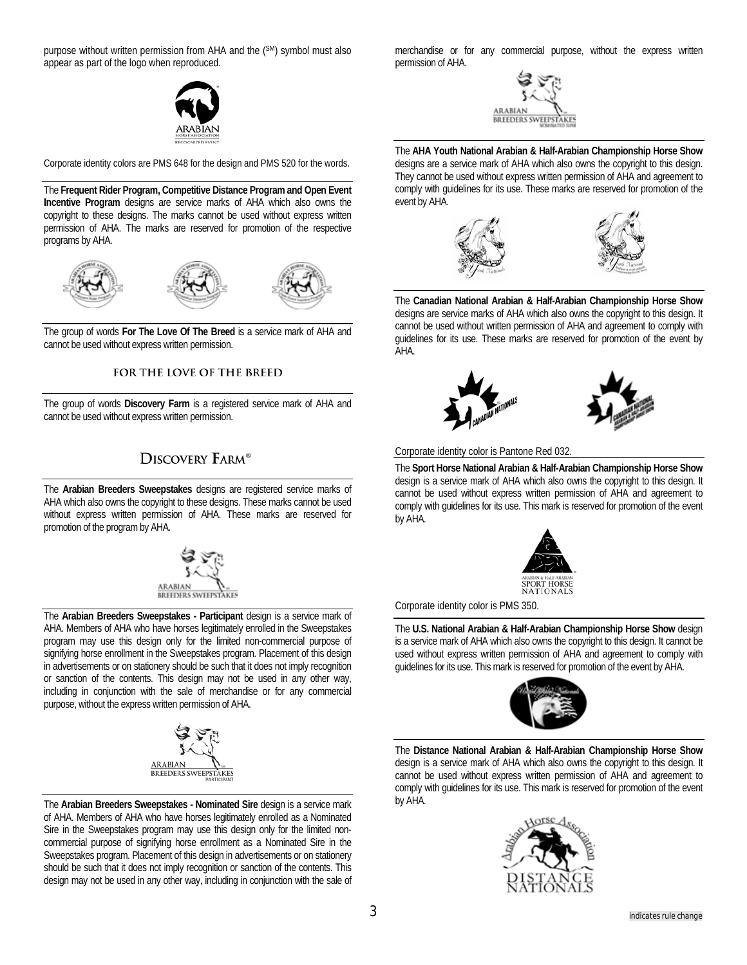purpose without written permission from AHA and the (SM) symbol must also appear as part of the logo when reproduced.

Corporate identity colors are PMS 648 for the design and PMS 520 for the words.

The **Frequent Rider Program, Competitive Distance Program and Open Event Incentive Program** designs are service marks of AHA which also owns the copyright to these designs. The marks cannot be used without express written permission of AHA. The marks are reserved for promotion of the respective programs by AHA.



The group of words **For The Love Of The Breed** is a service mark of AHA and cannot be used without express written permission.

### FOR THE LOVE OF THE BREED

The group of words **Discovery Farm** is a registered service mark of AHA and cannot be used without express written permission.

# **DISCOVERY FARM®**

The **Arabian Breeders Sweepstakes** designs are registered service marks of AHA which also owns the copyright to these designs. These marks cannot be used without express written permission of AHA. These marks are reserved for promotion of the program by AHA.



The **Arabian Breeders Sweepstakes - Participant** design is a service mark of AHA. Members of AHA who have horses legitimately enrolled in the Sweepstakes program may use this design only for the limited non-commercial purpose of signifying horse enrollment in the Sweepstakes program. Placement of this design in advertisements or on stationery should be such that it does not imply recognition or sanction of the contents. This design may not be used in any other way, including in conjunction with the sale of merchandise or for any commercial purpose, without the express written permission of AHA.



The **Arabian Breeders Sweepstakes - Nominated Sire** design is a service mark of AHA. Members of AHA who have horses legitimately enrolled as a Nominated Sire in the Sweepstakes program may use this design only for the limited noncommercial purpose of signifying horse enrollment as a Nominated Sire in the Sweepstakes program. Placement of this design in advertisements or on stationery should be such that it does not imply recognition or sanction of the contents. This design may not be used in any other way, including in conjunction with the sale of

merchandise or for any commercial purpose, without the express written permission of AHA.



The **AHA Youth National Arabian & Half-Arabian Championship Horse Show** designs are a service mark of AHA which also owns the copyright to this design. They cannot be used without express written permission of AHA and agreement to comply with guidelines for its use. These marks are reserved for promotion of the event by AHA.



The **Canadian National Arabian & Half-Arabian Championship Horse Show** designs are service marks of AHA which also owns the copyright to this design. It cannot be used without written permission of AHA and agreement to comply with guidelines for its use. These marks are reserved for promotion of the event by AHA.



Corporate identity color is Pantone Red 032.

The **Sport Horse National Arabian & Half-Arabian Championship Horse Show** design is a service mark of AHA which also owns the copyright to this design. It cannot be used without express written permission of AHA and agreement to comply with guidelines for its use. This mark is reserved for promotion of the event by AHA.



Corporate identity color is PMS 350.

The **U.S. National Arabian & Half-Arabian Championship Horse Show** design is a service mark of AHA which also owns the copyright to this design. It cannot be used without express written permission of AHA and agreement to comply with guidelines for its use. This mark is reserved for promotion of the event by AHA.



The **Distance National Arabian & Half-Arabian Championship Horse Show** design is a service mark of AHA which also owns the copyright to this design. It cannot be used without express written permission of AHA and agreement to comply with guidelines for its use. This mark is reserved for promotion of the event by AHA.